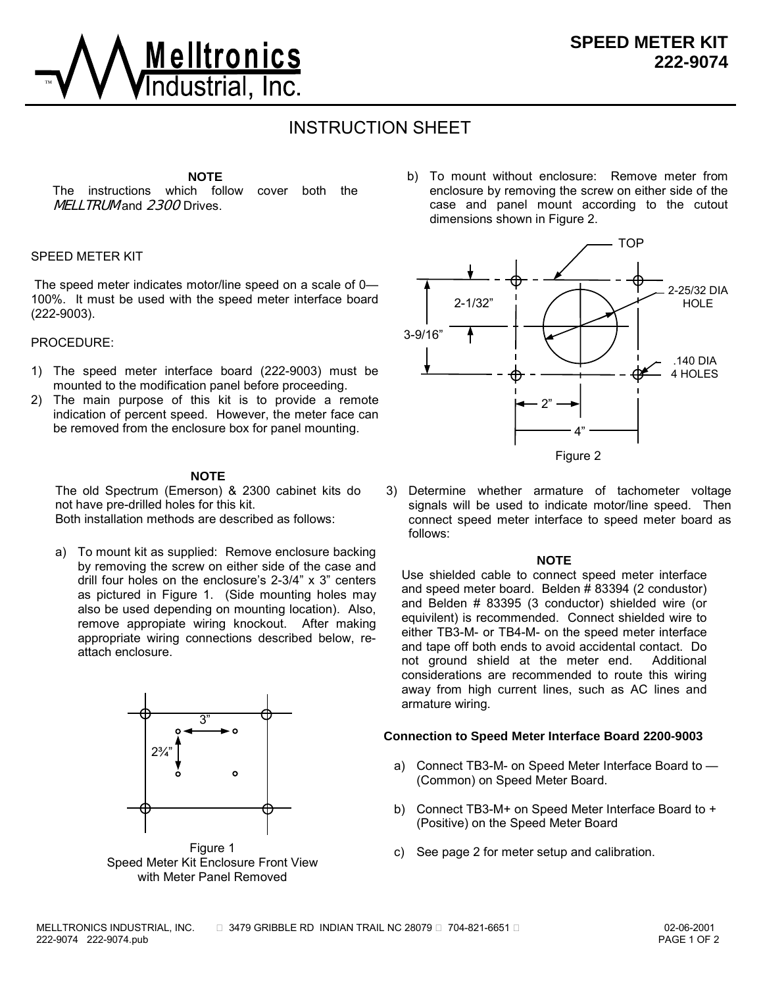

# INSTRUCTION SHEET

## **NOTE**

The instructions which follow cover both the **MELLTRUM** and **2300** Drives.

### SPEED METER KIT

 The speed meter indicates motor/line speed on a scale of 0— 100%. It must be used with the speed meter interface board (222-9003).

#### PROCEDURE:

- 1) The speed meter interface board (222-9003) must be mounted to the modification panel before proceeding.
- 2) The main purpose of this kit is to provide a remote indication of percent speed. However, the meter face can be removed from the enclosure box for panel mounting.

#### **NOTE**

The old Spectrum (Emerson) & 2300 cabinet kits do not have pre-drilled holes for this kit. Both installation methods are described as follows:

a) To mount kit as supplied: Remove enclosure backing by removing the screw on either side of the case and drill four holes on the enclosure's 2-3/4" x 3" centers as pictured in Figure 1. (Side mounting holes may also be used depending on mounting location). Also, remove appropiate wiring knockout. After making appropriate wiring connections described below, reattach enclosure.



Figure 1 Speed Meter Kit Enclosure Front View with Meter Panel Removed

b) To mount without enclosure: Remove meter from enclosure by removing the screw on either side of the case and panel mount according to the cutout dimensions shown in Figure 2.



- Figure 2
- 3) Determine whether armature of tachometer voltage signals will be used to indicate motor/line speed. Then connect speed meter interface to speed meter board as follows:

#### **NOTE**

Use shielded cable to connect speed meter interface and speed meter board. Belden # 83394 (2 condustor) and Belden # 83395 (3 conductor) shielded wire (or equivilent) is recommended. Connect shielded wire to either TB3-M- or TB4-M- on the speed meter interface and tape off both ends to avoid accidental contact. Do not ground shield at the meter end. Additional considerations are recommended to route this wiring away from high current lines, such as AC lines and armature wiring.

#### **Connection to Speed Meter Interface Board 2200-9003**

- a) Connect TB3-M- on Speed Meter Interface Board to (Common) on Speed Meter Board.
- b) Connect TB3-M+ on Speed Meter Interface Board to + (Positive) on the Speed Meter Board
- c) See page 2 for meter setup and calibration.